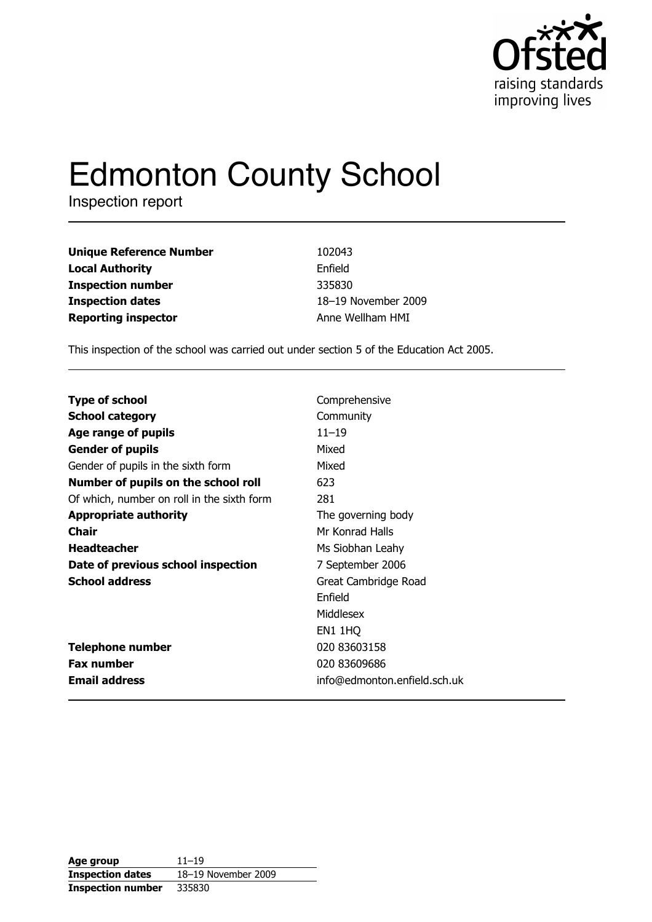

# **Edmonton County School**

Inspection report

| <b>Unique Reference Number</b> | 102043              |
|--------------------------------|---------------------|
| <b>Local Authority</b>         | Enfield             |
| <b>Inspection number</b>       | 335830              |
| <b>Inspection dates</b>        | 18-19 November 2009 |
| <b>Reporting inspector</b>     | Anne Wellham HMI    |

This inspection of the school was carried out under section 5 of the Education Act 2005.

| <b>Type of school</b>                      | Comprehensive                |
|--------------------------------------------|------------------------------|
|                                            |                              |
| <b>School category</b>                     | Community                    |
| Age range of pupils                        | $11 - 19$                    |
| <b>Gender of pupils</b>                    | Mixed                        |
| Gender of pupils in the sixth form         | Mixed                        |
| Number of pupils on the school roll        | 623                          |
| Of which, number on roll in the sixth form | 281                          |
| <b>Appropriate authority</b>               | The governing body           |
| Chair                                      | Mr Konrad Halls              |
| <b>Headteacher</b>                         | Ms Siobhan Leahy             |
| Date of previous school inspection         | 7 September 2006             |
| <b>School address</b>                      | Great Cambridge Road         |
|                                            | Enfield                      |
|                                            | Middlesex                    |
|                                            | <b>EN1 1HQ</b>               |
| <b>Telephone number</b>                    | 020 83603158                 |
| <b>Fax number</b>                          | 020 83609686                 |
| <b>Email address</b>                       | info@edmonton.enfield.sch.uk |

| Age group                | $11 - 19$           |
|--------------------------|---------------------|
| <b>Inspection dates</b>  | 18-19 November 2009 |
| <b>Inspection number</b> | 335830              |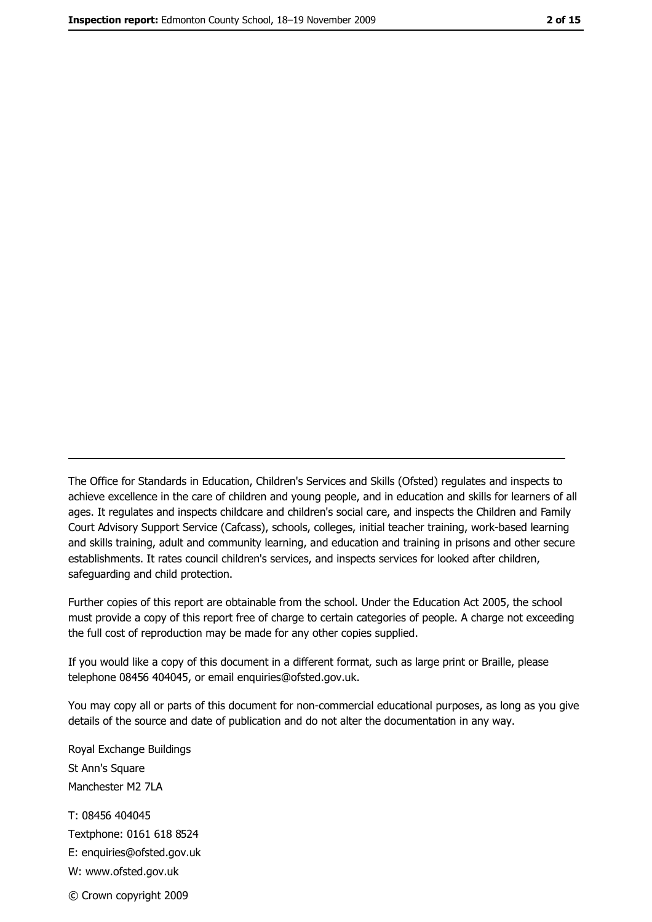The Office for Standards in Education, Children's Services and Skills (Ofsted) regulates and inspects to achieve excellence in the care of children and young people, and in education and skills for learners of all ages. It regulates and inspects childcare and children's social care, and inspects the Children and Family Court Advisory Support Service (Cafcass), schools, colleges, initial teacher training, work-based learning and skills training, adult and community learning, and education and training in prisons and other secure establishments. It rates council children's services, and inspects services for looked after children, safequarding and child protection.

Further copies of this report are obtainable from the school. Under the Education Act 2005, the school must provide a copy of this report free of charge to certain categories of people. A charge not exceeding the full cost of reproduction may be made for any other copies supplied.

If you would like a copy of this document in a different format, such as large print or Braille, please telephone 08456 404045, or email enquiries@ofsted.gov.uk.

You may copy all or parts of this document for non-commercial educational purposes, as long as you give details of the source and date of publication and do not alter the documentation in any way.

Royal Exchange Buildings St Ann's Square Manchester M2 7LA T: 08456 404045 Textphone: 0161 618 8524 E: enquiries@ofsted.gov.uk W: www.ofsted.gov.uk © Crown copyright 2009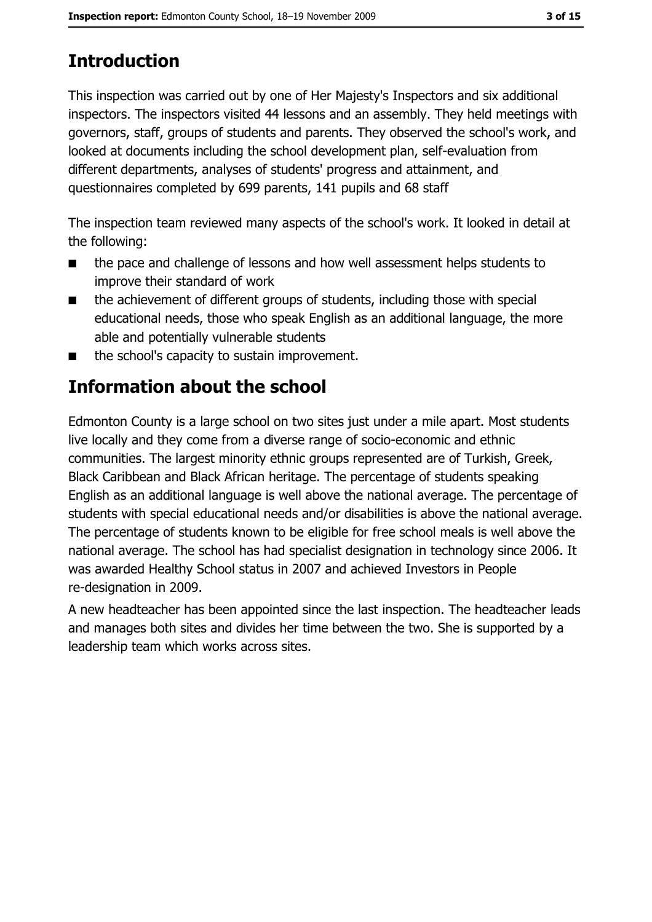# **Introduction**

This inspection was carried out by one of Her Majesty's Inspectors and six additional inspectors. The inspectors visited 44 lessons and an assembly. They held meetings with governors, staff, groups of students and parents. They observed the school's work, and looked at documents including the school development plan, self-evaluation from different departments, analyses of students' progress and attainment, and questionnaires completed by 699 parents, 141 pupils and 68 staff

The inspection team reviewed many aspects of the school's work. It looked in detail at the following:

- the pace and challenge of lessons and how well assessment helps students to  $\blacksquare$ improve their standard of work
- the achievement of different groups of students, including those with special  $\blacksquare$ educational needs, those who speak English as an additional language, the more able and potentially vulnerable students
- the school's capacity to sustain improvement.  $\blacksquare$

# **Information about the school**

Edmonton County is a large school on two sites just under a mile apart. Most students live locally and they come from a diverse range of socio-economic and ethnic communities. The largest minority ethnic groups represented are of Turkish, Greek, Black Caribbean and Black African heritage. The percentage of students speaking English as an additional language is well above the national average. The percentage of students with special educational needs and/or disabilities is above the national average. The percentage of students known to be eligible for free school meals is well above the national average. The school has had specialist designation in technology since 2006. It was awarded Healthy School status in 2007 and achieved Investors in People re-designation in 2009.

A new headteacher has been appointed since the last inspection. The headteacher leads and manages both sites and divides her time between the two. She is supported by a leadership team which works across sites.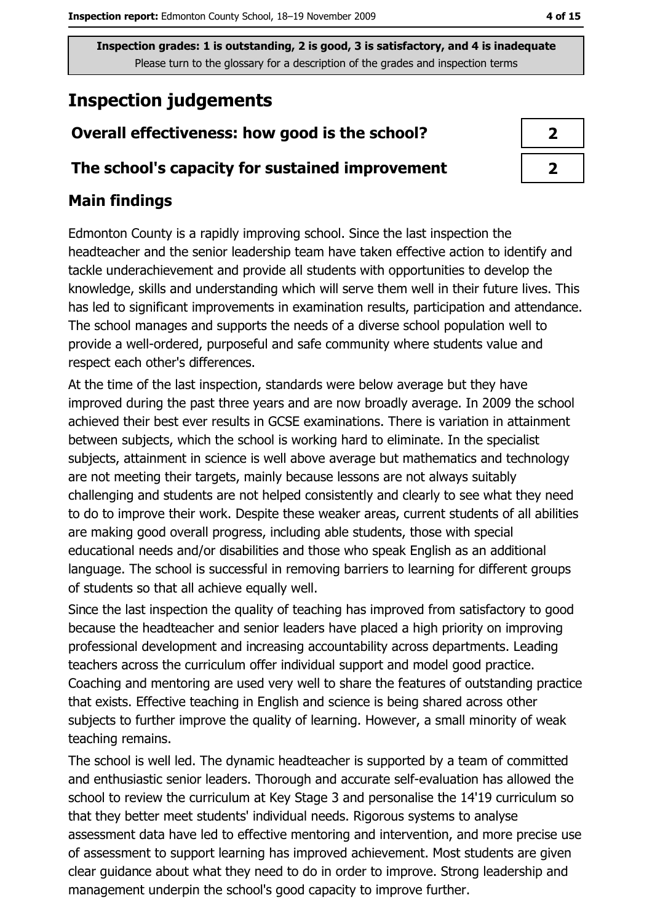# **Inspection judgements**

# Overall effectiveness: how good is the school?

### The school's capacity for sustained improvement

# **Main findings**

Edmonton County is a rapidly improving school. Since the last inspection the headteacher and the senior leadership team have taken effective action to identify and tackle underachievement and provide all students with opportunities to develop the knowledge, skills and understanding which will serve them well in their future lives. This has led to significant improvements in examination results, participation and attendance. The school manages and supports the needs of a diverse school population well to provide a well-ordered, purposeful and safe community where students value and respect each other's differences.

At the time of the last inspection, standards were below average but they have improved during the past three years and are now broadly average. In 2009 the school achieved their best ever results in GCSE examinations. There is variation in attainment between subjects, which the school is working hard to eliminate. In the specialist subjects, attainment in science is well above average but mathematics and technology are not meeting their targets, mainly because lessons are not always suitably challenging and students are not helped consistently and clearly to see what they need to do to improve their work. Despite these weaker areas, current students of all abilities are making good overall progress, including able students, those with special educational needs and/or disabilities and those who speak English as an additional language. The school is successful in removing barriers to learning for different groups of students so that all achieve equally well.

Since the last inspection the quality of teaching has improved from satisfactory to good because the headteacher and senior leaders have placed a high priority on improving professional development and increasing accountability across departments. Leading teachers across the curriculum offer individual support and model good practice. Coaching and mentoring are used very well to share the features of outstanding practice that exists. Effective teaching in English and science is being shared across other subjects to further improve the quality of learning. However, a small minority of weak teaching remains.

The school is well led. The dynamic headteacher is supported by a team of committed and enthusiastic senior leaders. Thorough and accurate self-evaluation has allowed the school to review the curriculum at Key Stage 3 and personalise the 14'19 curriculum so that they better meet students' individual needs. Rigorous systems to analyse assessment data have led to effective mentoring and intervention, and more precise use of assessment to support learning has improved achievement. Most students are given clear guidance about what they need to do in order to improve. Strong leadership and management underpin the school's good capacity to improve further.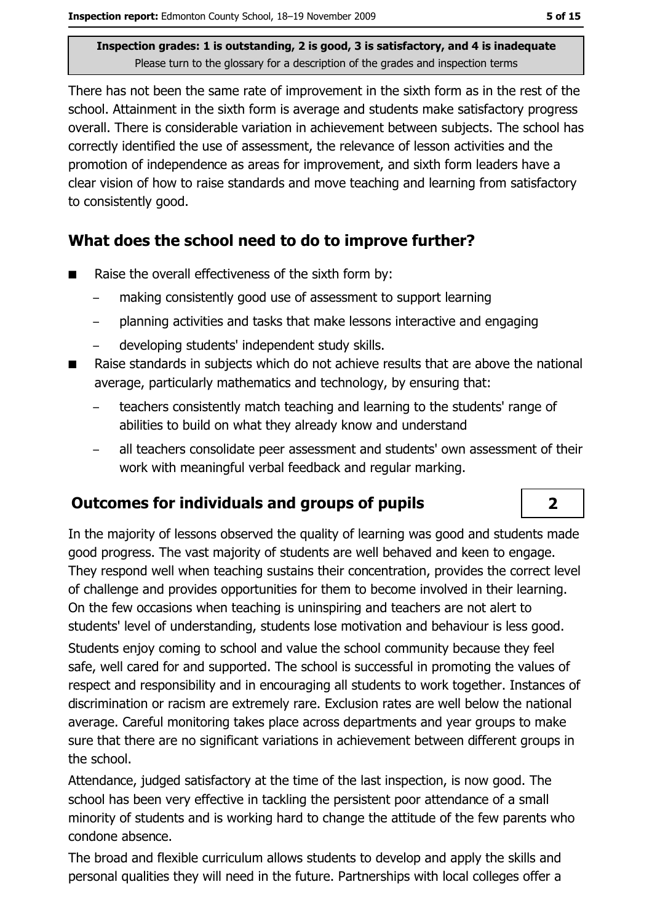There has not been the same rate of improvement in the sixth form as in the rest of the school. Attainment in the sixth form is average and students make satisfactory progress overall. There is considerable variation in achievement between subjects. The school has correctly identified the use of assessment, the relevance of lesson activities and the promotion of independence as areas for improvement, and sixth form leaders have a clear vision of how to raise standards and move teaching and learning from satisfactory to consistently good.

# What does the school need to do to improve further?

- Raise the overall effectiveness of the sixth form by:  $\blacksquare$ 
	- making consistently good use of assessment to support learning
	- planning activities and tasks that make lessons interactive and engaging  $\equiv$
	- developing students' independent study skills.
- Raise standards in subjects which do not achieve results that are above the national  $\blacksquare$ average, particularly mathematics and technology, by ensuring that:
	- teachers consistently match teaching and learning to the students' range of abilities to build on what they already know and understand
	- all teachers consolidate peer assessment and students' own assessment of their work with meaningful verbal feedback and regular marking.

# **Outcomes for individuals and groups of pupils**

In the majority of lessons observed the quality of learning was good and students made good progress. The vast majority of students are well behaved and keen to engage. They respond well when teaching sustains their concentration, provides the correct level of challenge and provides opportunities for them to become involved in their learning. On the few occasions when teaching is uninspiring and teachers are not alert to students' level of understanding, students lose motivation and behaviour is less good. Students enjoy coming to school and value the school community because they feel safe, well cared for and supported. The school is successful in promoting the values of respect and responsibility and in encouraging all students to work together. Instances of discrimination or racism are extremely rare. Exclusion rates are well below the national average. Careful monitoring takes place across departments and year groups to make sure that there are no significant variations in achievement between different groups in the school.

Attendance, judged satisfactory at the time of the last inspection, is now good. The school has been very effective in tackling the persistent poor attendance of a small minority of students and is working hard to change the attitude of the few parents who condone absence.

The broad and flexible curriculum allows students to develop and apply the skills and personal qualities they will need in the future. Partnerships with local colleges offer a

 $\overline{\mathbf{2}}$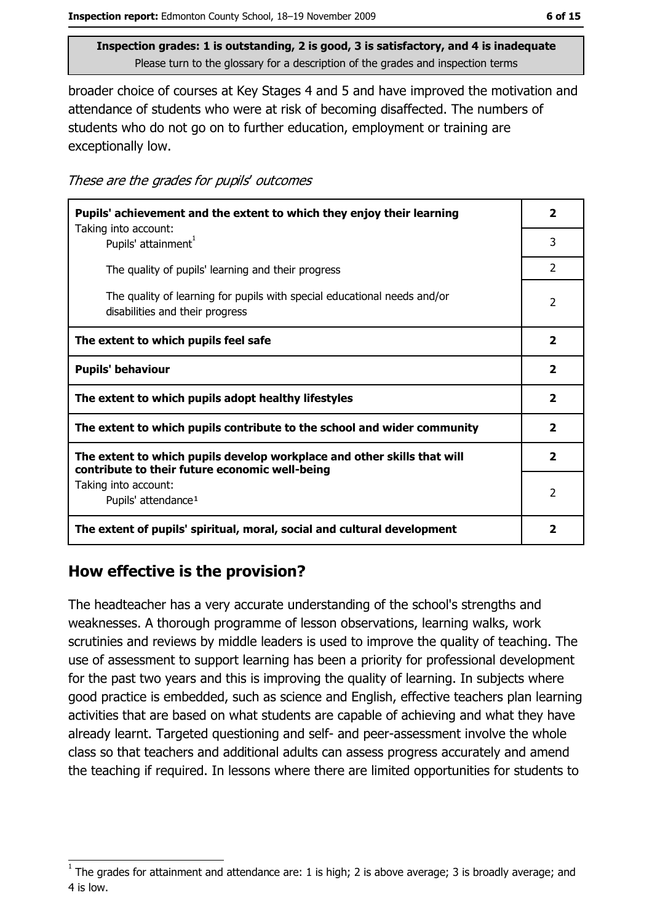broader choice of courses at Key Stages 4 and 5 and have improved the motivation and attendance of students who were at risk of becoming disaffected. The numbers of students who do not go on to further education, employment or training are exceptionally low.

| These are the grades for pupils' outcomes |  |  |  |
|-------------------------------------------|--|--|--|
|-------------------------------------------|--|--|--|

| Pupils' achievement and the extent to which they enjoy their learning                                                     |                         |  |
|---------------------------------------------------------------------------------------------------------------------------|-------------------------|--|
| Taking into account:<br>Pupils' attainment <sup>1</sup>                                                                   | 3                       |  |
| The quality of pupils' learning and their progress                                                                        | $\mathcal{P}$           |  |
| The quality of learning for pupils with special educational needs and/or<br>disabilities and their progress               | 2                       |  |
| The extent to which pupils feel safe                                                                                      | $\overline{\mathbf{2}}$ |  |
| <b>Pupils' behaviour</b>                                                                                                  | $\overline{\mathbf{2}}$ |  |
| The extent to which pupils adopt healthy lifestyles                                                                       | $\overline{\mathbf{2}}$ |  |
| The extent to which pupils contribute to the school and wider community                                                   |                         |  |
| The extent to which pupils develop workplace and other skills that will<br>contribute to their future economic well-being |                         |  |
| Taking into account:<br>Pupils' attendance <sup>1</sup>                                                                   | $\mathcal{P}$           |  |
| The extent of pupils' spiritual, moral, social and cultural development                                                   | 2                       |  |

# How effective is the provision?

The headteacher has a very accurate understanding of the school's strengths and weaknesses. A thorough programme of lesson observations, learning walks, work scrutinies and reviews by middle leaders is used to improve the quality of teaching. The use of assessment to support learning has been a priority for professional development for the past two years and this is improving the quality of learning. In subjects where good practice is embedded, such as science and English, effective teachers plan learning activities that are based on what students are capable of achieving and what they have already learnt. Targeted questioning and self- and peer-assessment involve the whole class so that teachers and additional adults can assess progress accurately and amend the teaching if required. In lessons where there are limited opportunities for students to

The grades for attainment and attendance are: 1 is high; 2 is above average; 3 is broadly average; and 4 is low.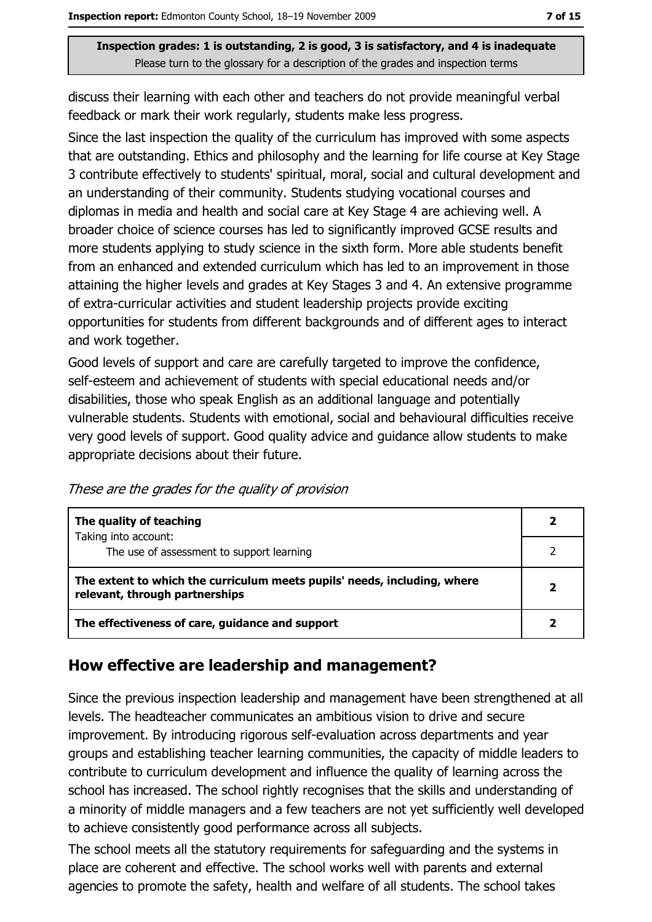discuss their learning with each other and teachers do not provide meaningful verbal feedback or mark their work regularly, students make less progress.

Since the last inspection the quality of the curriculum has improved with some aspects that are outstanding. Ethics and philosophy and the learning for life course at Key Stage 3 contribute effectively to students' spiritual, moral, social and cultural development and an understanding of their community. Students studying vocational courses and diplomas in media and health and social care at Key Stage 4 are achieving well. A broader choice of science courses has led to significantly improved GCSE results and more students applying to study science in the sixth form. More able students benefit from an enhanced and extended curriculum which has led to an improvement in those attaining the higher levels and grades at Key Stages 3 and 4. An extensive programme of extra-curricular activities and student leadership projects provide exciting opportunities for students from different backgrounds and of different ages to interact and work together.

Good levels of support and care are carefully targeted to improve the confidence, self-esteem and achievement of students with special educational needs and/or disabilities, those who speak English as an additional language and potentially vulnerable students. Students with emotional, social and behavioural difficulties receive very good levels of support. Good quality advice and guidance allow students to make appropriate decisions about their future.

These are the grades for the quality of provision

| The quality of teaching                                                                                    |  |
|------------------------------------------------------------------------------------------------------------|--|
| Taking into account:<br>The use of assessment to support learning                                          |  |
| The extent to which the curriculum meets pupils' needs, including, where<br>relevant, through partnerships |  |
| The effectiveness of care, guidance and support                                                            |  |

## How effective are leadership and management?

Since the previous inspection leadership and management have been strengthened at all levels. The headteacher communicates an ambitious vision to drive and secure improvement. By introducing rigorous self-evaluation across departments and year groups and establishing teacher learning communities, the capacity of middle leaders to contribute to curriculum development and influence the quality of learning across the school has increased. The school rightly recognises that the skills and understanding of a minority of middle managers and a few teachers are not yet sufficiently well developed to achieve consistently good performance across all subjects.

The school meets all the statutory requirements for safequarding and the systems in place are coherent and effective. The school works well with parents and external agencies to promote the safety, health and welfare of all students. The school takes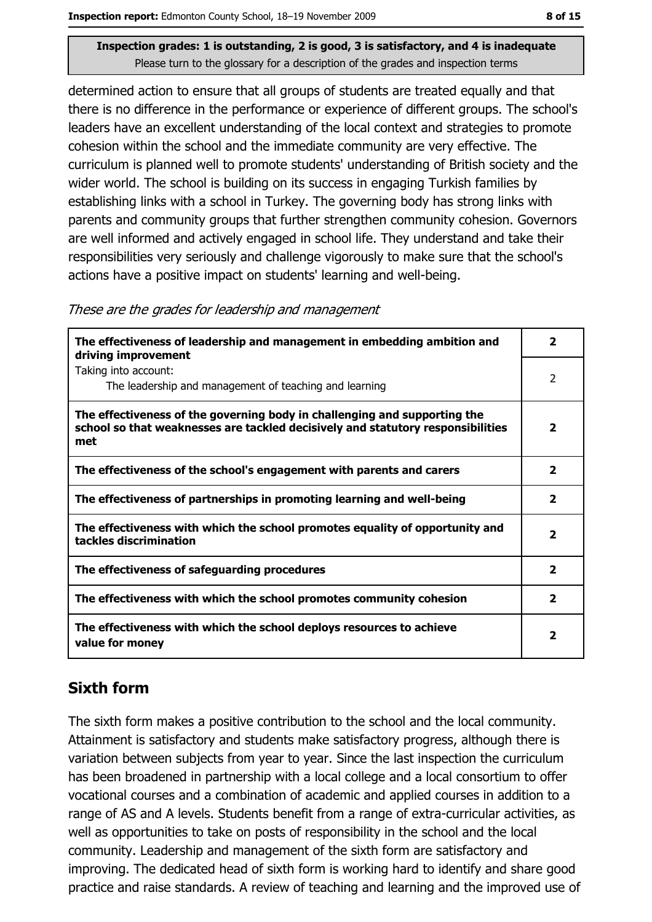determined action to ensure that all groups of students are treated equally and that there is no difference in the performance or experience of different groups. The school's leaders have an excellent understanding of the local context and strategies to promote cohesion within the school and the immediate community are very effective. The curriculum is planned well to promote students' understanding of British society and the wider world. The school is building on its success in engaging Turkish families by establishing links with a school in Turkey. The governing body has strong links with parents and community groups that further strengthen community cohesion. Governors are well informed and actively engaged in school life. They understand and take their responsibilities very seriously and challenge vigorously to make sure that the school's actions have a positive impact on students' learning and well-being.

These are the grades for leadership and management

| The effectiveness of leadership and management in embedding ambition and<br>driving improvement                                                                     | $\overline{\phantom{a}}$ |
|---------------------------------------------------------------------------------------------------------------------------------------------------------------------|--------------------------|
| Taking into account:<br>The leadership and management of teaching and learning                                                                                      | 2                        |
| The effectiveness of the governing body in challenging and supporting the<br>school so that weaknesses are tackled decisively and statutory responsibilities<br>met | $\overline{\mathbf{2}}$  |
| The effectiveness of the school's engagement with parents and carers                                                                                                | $\overline{\mathbf{2}}$  |
| The effectiveness of partnerships in promoting learning and well-being                                                                                              | $\overline{\mathbf{2}}$  |
| The effectiveness with which the school promotes equality of opportunity and<br>tackles discrimination                                                              | $\overline{\mathbf{2}}$  |
| The effectiveness of safeguarding procedures                                                                                                                        | $\overline{\mathbf{2}}$  |
| The effectiveness with which the school promotes community cohesion                                                                                                 | $\mathbf{2}$             |
| The effectiveness with which the school deploys resources to achieve<br>value for money                                                                             | 2                        |

# **Sixth form**

The sixth form makes a positive contribution to the school and the local community. Attainment is satisfactory and students make satisfactory progress, although there is variation between subjects from year to year. Since the last inspection the curriculum has been broadened in partnership with a local college and a local consortium to offer vocational courses and a combination of academic and applied courses in addition to a range of AS and A levels. Students benefit from a range of extra-curricular activities, as well as opportunities to take on posts of responsibility in the school and the local community. Leadership and management of the sixth form are satisfactory and improving. The dedicated head of sixth form is working hard to identify and share good practice and raise standards. A review of teaching and learning and the improved use of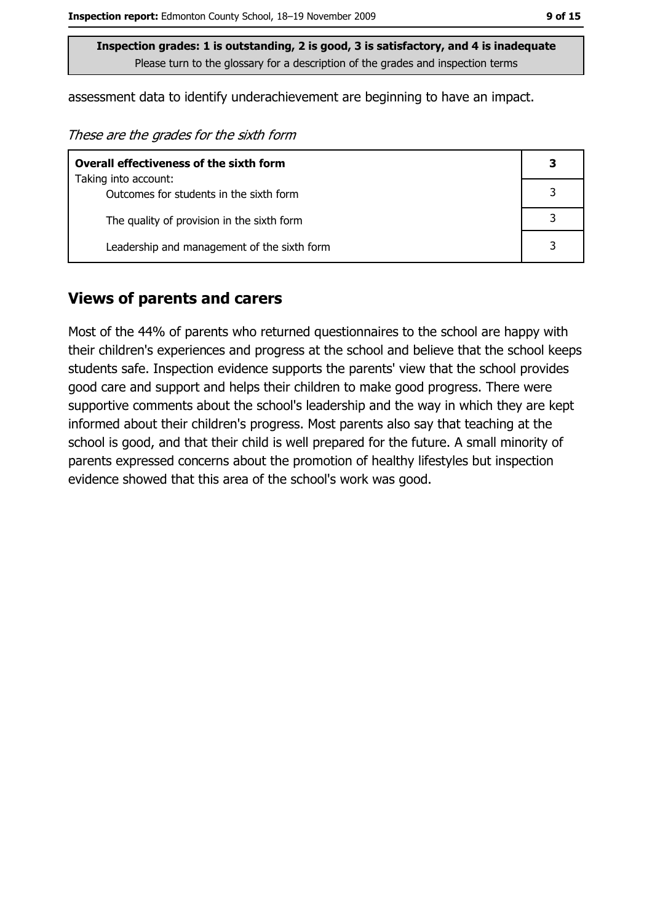assessment data to identify underachievement are beginning to have an impact.

These are the grades for the sixth form

| <b>Overall effectiveness of the sixth form</b> |  |
|------------------------------------------------|--|
| Taking into account:                           |  |
| Outcomes for students in the sixth form        |  |
| The quality of provision in the sixth form     |  |
| Leadership and management of the sixth form    |  |

#### **Views of parents and carers**

Most of the 44% of parents who returned questionnaires to the school are happy with their children's experiences and progress at the school and believe that the school keeps students safe. Inspection evidence supports the parents' view that the school provides good care and support and helps their children to make good progress. There were supportive comments about the school's leadership and the way in which they are kept informed about their children's progress. Most parents also say that teaching at the school is good, and that their child is well prepared for the future. A small minority of parents expressed concerns about the promotion of healthy lifestyles but inspection evidence showed that this area of the school's work was good.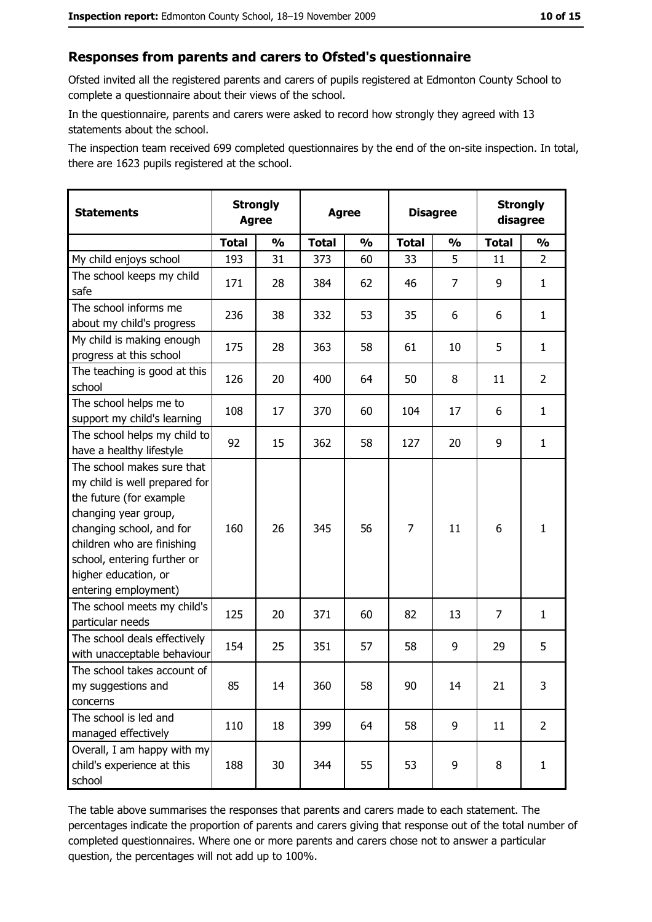#### Responses from parents and carers to Ofsted's questionnaire

Ofsted invited all the registered parents and carers of pupils registered at Edmonton County School to complete a questionnaire about their views of the school.

In the questionnaire, parents and carers were asked to record how strongly they agreed with 13 statements about the school.

The inspection team received 699 completed questionnaires by the end of the on-site inspection. In total, there are 1623 pupils registered at the school.

| <b>Statements</b>                                                                                                                                                                                                                                       | <b>Strongly</b><br><b>Agree</b><br><b>Agree</b> |               | <b>Disagree</b> |               |                |               | <b>Strongly</b><br>disagree |                |
|---------------------------------------------------------------------------------------------------------------------------------------------------------------------------------------------------------------------------------------------------------|-------------------------------------------------|---------------|-----------------|---------------|----------------|---------------|-----------------------------|----------------|
|                                                                                                                                                                                                                                                         | <b>Total</b>                                    | $\frac{0}{0}$ | <b>Total</b>    | $\frac{0}{0}$ | <b>Total</b>   | $\frac{1}{2}$ | <b>Total</b>                | $\frac{1}{2}$  |
| My child enjoys school                                                                                                                                                                                                                                  | 193                                             | 31            | 373             | 60            | 33             | 5             | 11                          | $\overline{2}$ |
| The school keeps my child<br>safe                                                                                                                                                                                                                       | 171                                             | 28            | 384             | 62            | 46             | 7             | 9                           | $\mathbf{1}$   |
| The school informs me<br>about my child's progress                                                                                                                                                                                                      | 236                                             | 38            | 332             | 53            | 35             | 6             | 6                           | $\mathbf{1}$   |
| My child is making enough<br>progress at this school                                                                                                                                                                                                    | 175                                             | 28            | 363             | 58            | 61             | 10            | 5                           | $\mathbf{1}$   |
| The teaching is good at this<br>school                                                                                                                                                                                                                  | 126                                             | 20            | 400             | 64            | 50             | 8             | 11                          | $\overline{2}$ |
| The school helps me to<br>support my child's learning                                                                                                                                                                                                   | 108                                             | 17            | 370             | 60            | 104            | 17            | 6                           | $\mathbf{1}$   |
| The school helps my child to<br>have a healthy lifestyle                                                                                                                                                                                                | 92                                              | 15            | 362             | 58            | 127            | 20            | 9                           | $\mathbf{1}$   |
| The school makes sure that<br>my child is well prepared for<br>the future (for example<br>changing year group,<br>changing school, and for<br>children who are finishing<br>school, entering further or<br>higher education, or<br>entering employment) | 160                                             | 26            | 345             | 56            | $\overline{7}$ | 11            | 6                           | $\mathbf{1}$   |
| The school meets my child's<br>particular needs                                                                                                                                                                                                         | 125                                             | 20            | 371             | 60            | 82             | 13            | $\overline{7}$              | $\mathbf{1}$   |
| The school deals effectively<br>with unacceptable behaviour                                                                                                                                                                                             | 154                                             | 25            | 351             | 57            | 58             | 9             | 29                          | 5              |
| The school takes account of<br>my suggestions and<br>concerns                                                                                                                                                                                           | 85                                              | 14            | 360             | 58            | 90             | 14            | 21                          | 3              |
| The school is led and<br>managed effectively                                                                                                                                                                                                            | 110                                             | 18            | 399             | 64            | 58             | 9             | 11                          | $\overline{2}$ |
| Overall, I am happy with my<br>child's experience at this<br>school                                                                                                                                                                                     | 188                                             | 30            | 344             | 55            | 53             | 9             | 8                           | $\mathbf{1}$   |

The table above summarises the responses that parents and carers made to each statement. The percentages indicate the proportion of parents and carers giving that response out of the total number of completed questionnaires. Where one or more parents and carers chose not to answer a particular question, the percentages will not add up to 100%.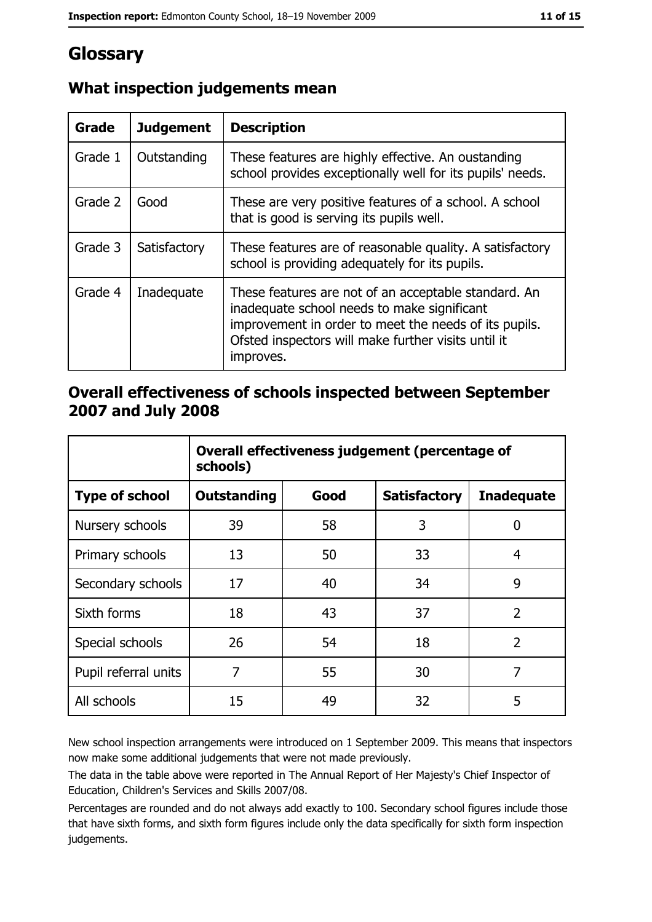# Glossary

| <b>Grade</b> | <b>Judgement</b> | <b>Description</b>                                                                                                                                                                                                               |
|--------------|------------------|----------------------------------------------------------------------------------------------------------------------------------------------------------------------------------------------------------------------------------|
| Grade 1      | Outstanding      | These features are highly effective. An oustanding<br>school provides exceptionally well for its pupils' needs.                                                                                                                  |
| Grade 2      | Good             | These are very positive features of a school. A school<br>that is good is serving its pupils well.                                                                                                                               |
| Grade 3      | Satisfactory     | These features are of reasonable quality. A satisfactory<br>school is providing adequately for its pupils.                                                                                                                       |
| Grade 4      | Inadequate       | These features are not of an acceptable standard. An<br>inadequate school needs to make significant<br>improvement in order to meet the needs of its pupils.<br>Ofsted inspectors will make further visits until it<br>improves. |

# What inspection judgements mean

## Overall effectiveness of schools inspected between September 2007 and July 2008

|                       | Overall effectiveness judgement (percentage of<br>schools) |      |                     |                   |
|-----------------------|------------------------------------------------------------|------|---------------------|-------------------|
| <b>Type of school</b> | <b>Outstanding</b>                                         | Good | <b>Satisfactory</b> | <b>Inadequate</b> |
| Nursery schools       | 39                                                         | 58   | 3                   | 0                 |
| Primary schools       | 13                                                         | 50   | 33                  | 4                 |
| Secondary schools     | 17                                                         | 40   | 34                  | 9                 |
| Sixth forms           | 18                                                         | 43   | 37                  | $\overline{2}$    |
| Special schools       | 26                                                         | 54   | 18                  | $\overline{2}$    |
| Pupil referral units  | 7                                                          | 55   | 30                  | 7                 |
| All schools           | 15                                                         | 49   | 32                  | 5                 |

New school inspection arrangements were introduced on 1 September 2009. This means that inspectors now make some additional judgements that were not made previously.

The data in the table above were reported in The Annual Report of Her Majesty's Chief Inspector of Education, Children's Services and Skills 2007/08.

Percentages are rounded and do not always add exactly to 100. Secondary school figures include those that have sixth forms, and sixth form figures include only the data specifically for sixth form inspection judgements.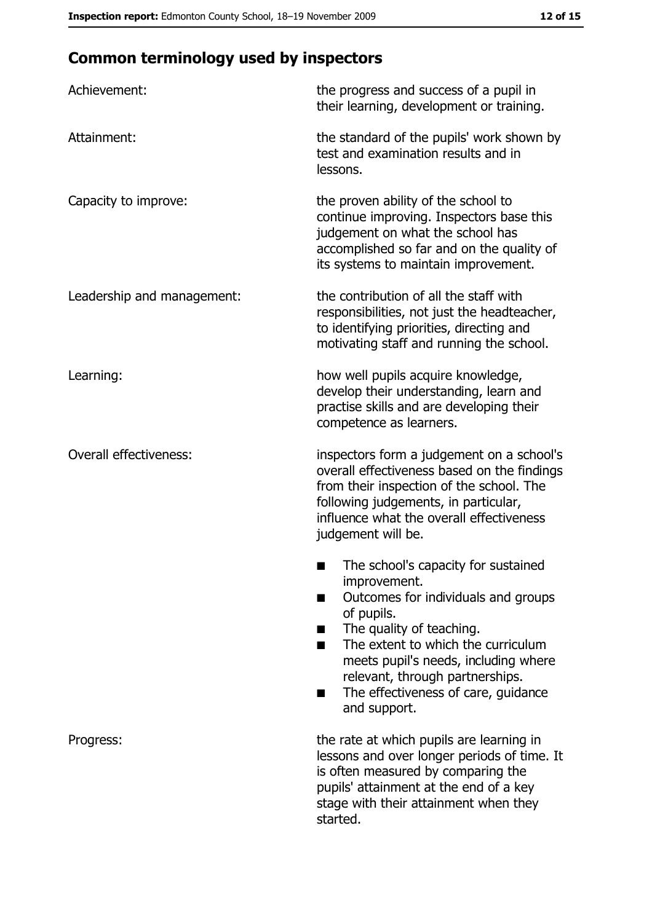# **Common terminology used by inspectors**

| Achievement:                  | the progress and success of a pupil in<br>their learning, development or training.                                                                                                                                                                                                                                |
|-------------------------------|-------------------------------------------------------------------------------------------------------------------------------------------------------------------------------------------------------------------------------------------------------------------------------------------------------------------|
| Attainment:                   | the standard of the pupils' work shown by<br>test and examination results and in<br>lessons.                                                                                                                                                                                                                      |
| Capacity to improve:          | the proven ability of the school to<br>continue improving. Inspectors base this<br>judgement on what the school has<br>accomplished so far and on the quality of<br>its systems to maintain improvement.                                                                                                          |
| Leadership and management:    | the contribution of all the staff with<br>responsibilities, not just the headteacher,<br>to identifying priorities, directing and<br>motivating staff and running the school.                                                                                                                                     |
| Learning:                     | how well pupils acquire knowledge,<br>develop their understanding, learn and<br>practise skills and are developing their<br>competence as learners.                                                                                                                                                               |
| <b>Overall effectiveness:</b> | inspectors form a judgement on a school's<br>overall effectiveness based on the findings<br>from their inspection of the school. The<br>following judgements, in particular,<br>influence what the overall effectiveness<br>judgement will be.                                                                    |
|                               | The school's capacity for sustained<br>improvement.<br>Outcomes for individuals and groups<br>of pupils.<br>The quality of teaching.<br>The extent to which the curriculum<br>٠<br>meets pupil's needs, including where<br>relevant, through partnerships.<br>The effectiveness of care, guidance<br>and support. |
| Progress:                     | the rate at which pupils are learning in<br>lessons and over longer periods of time. It<br>is often measured by comparing the<br>pupils' attainment at the end of a key<br>stage with their attainment when they<br>started.                                                                                      |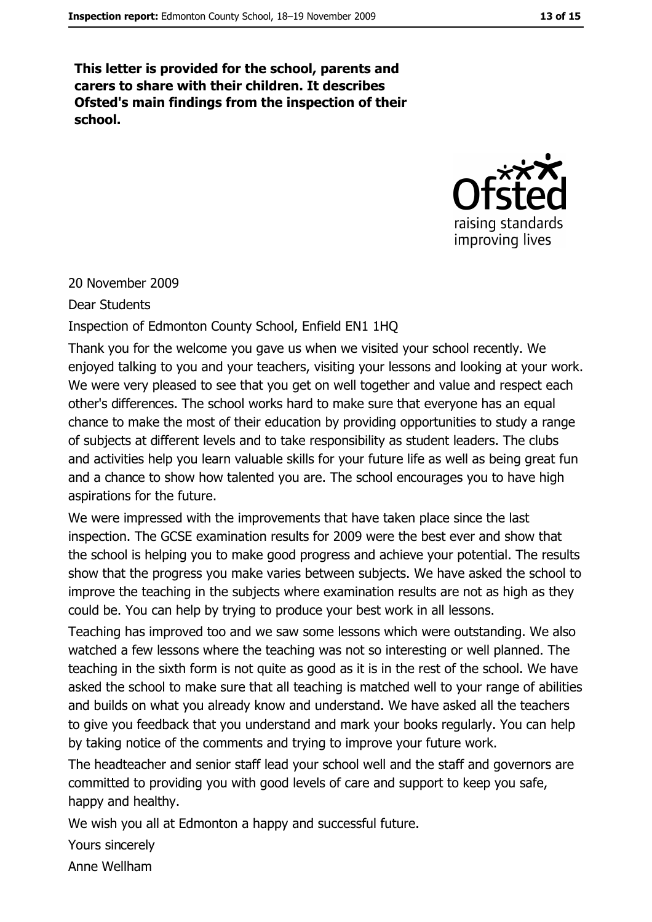This letter is provided for the school, parents and carers to share with their children. It describes Ofsted's main findings from the inspection of their school.



20 November 2009

**Dear Students** 

Inspection of Edmonton County School, Enfield EN1 1HQ

Thank you for the welcome you gave us when we visited your school recently. We enjoyed talking to you and your teachers, visiting your lessons and looking at your work. We were very pleased to see that you get on well together and value and respect each other's differences. The school works hard to make sure that everyone has an equal chance to make the most of their education by providing opportunities to study a range of subjects at different levels and to take responsibility as student leaders. The clubs and activities help you learn valuable skills for your future life as well as being great fun and a chance to show how talented you are. The school encourages you to have high aspirations for the future.

We were impressed with the improvements that have taken place since the last inspection. The GCSE examination results for 2009 were the best ever and show that the school is helping you to make good progress and achieve your potential. The results show that the progress you make varies between subjects. We have asked the school to improve the teaching in the subjects where examination results are not as high as they could be. You can help by trying to produce your best work in all lessons.

Teaching has improved too and we saw some lessons which were outstanding. We also watched a few lessons where the teaching was not so interesting or well planned. The teaching in the sixth form is not quite as good as it is in the rest of the school. We have asked the school to make sure that all teaching is matched well to your range of abilities and builds on what you already know and understand. We have asked all the teachers to give you feedback that you understand and mark your books regularly. You can help by taking notice of the comments and trying to improve your future work.

The headteacher and senior staff lead your school well and the staff and governors are committed to providing you with good levels of care and support to keep you safe, happy and healthy.

We wish you all at Edmonton a happy and successful future.

Yours sincerely

Anne Wellham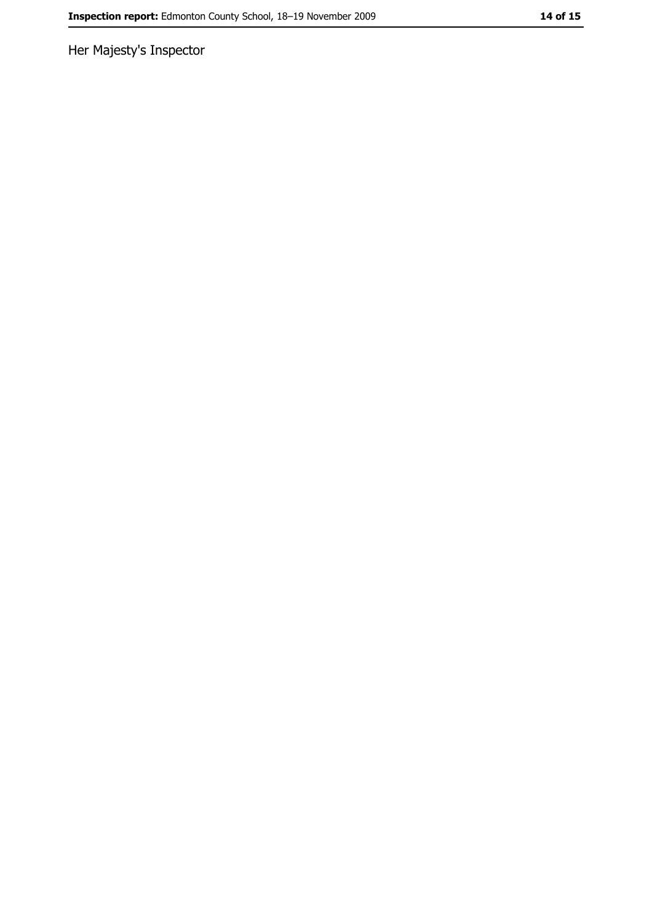Her Majesty's Inspector